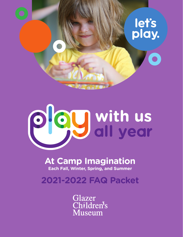



# **At Camp Imagination Each Fall, Winter, Spring, and Summer**

**2021-2022 FAQ Packet**

Glazer Children<sup>t</sup>s **Museum**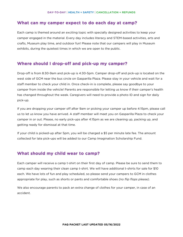#### **What can my camper expect to do each day at camp?**

Each camp is themed around an exciting topic with specially designed activities to keep your camper engaged in the material. Every day includes literacy and STEM-based activities, arts and crafts, Museum play time, and outdoor fun! Please note that our campers will play in Museum exhibits, during the quietest times in which we are open to the public.

#### **Where should I drop-off and pick-up my camper?**

Drop-off is from 8:30-9am and pick-up is 4:30-5pm. Camper drop-off and pick-up is located on the west side of GCM near the bus circle on Gasparilla Plaza. Please stay in your vehicle and wait for a staff member to check your child in. Once check-in is complete, please say goodbye to your camper from inside the vehicle! Parents are responsible for letting us know if their camper's health has changed throughout the week. Caregivers will need to provide a photo ID and sign for daily pick-up.

If you are dropping your camper off after 9am or picking your camper up before 4:15pm, please call us to let us know you have arrived. A staff member will meet you on Gasparilla Plaza to check your camper in or out. Please, no early pick-ups after 4:15pm as we are cleaning up, packing up, and getting ready for dismissal at that time.

If your child is picked-up after 5pm, you will be charged a \$5 per minute late fee. The amount collected for late pick-ups will be added to our Camp Imagination Scholarship Fund.

# **What should my child wear to camp?**

Each camper will receive a camp t-shirt on their first day of camp. Please be sure to send them to camp each day wearing their clean camp t-shirt. We will have additional t-shirts for sale for \$10 each. We have lots of fun and play scheduled, so please send your campers to GCM in clothes appropriate for play, such as shorts or pants and comfortable shoes *(no flip flops please)*.

We also encourage parents to pack an extra change of clothes for your camper, in case of an accident.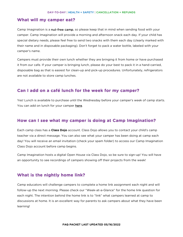#### **What will my camper eat?**

Camp Imagination is a nut-free camp, so please keep that in mind when sending food with your camper. Camp Imagination will provide a morning and afternoon snack each day. If your child has special dietary needs, please feel free to send two snacks with them each day (clearly marked with their name and in disposable packaging). Don't forget to pack a water bottle, labeled with your camper's name.

Campers must provide their own lunch whether they are bringing it from home or have purchased it from our cafe. If your camper is bringing lunch, please do your best to pack it in a hand-carried, disposable bag as that is easiest for clean-up and pick-up procedures. Unfortunately, refrigerators are not available to store camp lunches.

# **Can I add on a café lunch for the week for my camper?**

Yes! Lunch is available to purchase until the Wednesday before your camper's week of camp starts. You can add on lunch for your camper [here.](http://72839.blackbaudhosting.com/72839/tickets?tab=3&txobjid=ff5a7c60-6a47-4e57-8ad4-02da6a14de06)

### **How can I see what my camper is doing at Camp Imagination?**

Each camp class has a **Class Dojo** account. Class Dojo allows you to contact your child's camp teacher via a direct message. You can also see what your camper has been doing at camp each day! You will receive an email invitation (check your spam folder) to access our Camp Imagination Class Dojo account before camp begins.

Camp Imagination hosts a digital Open House via Class Dojo, so be sure to sign-up! You will have an opportunity to see recordings of campers showing off their projects from the week!

# **What is the nightly home link?**

Camp educators will challenge campers to complete a home link assignment each night and will follow-up the next morning. Please check our "Week-at-a-Glance" for the home link question for each night. The intention behind the home link is to "link" what campers learned at camp to discussions at home. It is an excellent way for parents to ask campers about what they have been learning!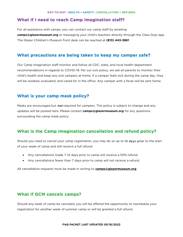#### **What if I need to reach Camp Imagination staff?**

For all assistance with camps, you can contact our camp staff by emailing **camps@glazermuseum.org** or messaging your child's teachers directly through the Class Dojo app. The Glazer Children's Museum front desk can be reached at **(813) 443-3861**

# **What precautions are being taken to keep my camper safe?**

Our Camp Imagination staff monitor and follow all CDC, state, and local health department recommendations in regards to COVID-19. Per our sick policy, we ask all parents to monitor their child's health and keep any sick campers at home. If a camper feels sick during the camp day, they will be isolated, evaluated, and cared for in the office. Any camper with a fever will be sent home.

### **What is your camp mask policy?**

Masks are encouraged but *not* required for campers. This policy is subject to change and any updates will be posted here. Please contact **[camps@glazermuseum.org](mailto:camps@glazermuseum.org)** for any questions surrounding the camp mask policy.

# **What is the Camp Imagination cancellation and refund policy?**

Should you need to cancel your camp registration, you may do so up to 14 days prior to the start of your week of camp and still receive a full refund.

- Any cancellations made 7-14 days prior to camp will receive a 50% refund.
- Any cancellations fewer than 7 days prior to camp will not receive a refund.

All cancellation requests must be made in writing to **[camps@glazermuseum.org](mailto:camps@glazermuseum.org)**

# **What if GCM cancels camps?**

Should any week of camp be canceled, you will be offered the opportunity to reschedule your registration for another week of summer camp or will be granted a full refund.